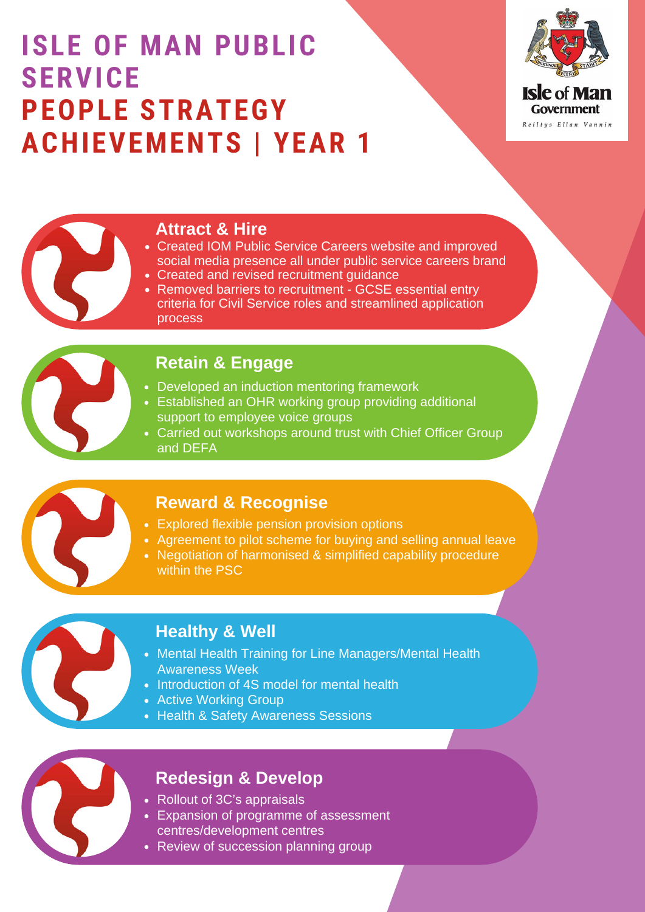# **ISLE OF MAN PUBLIC SERVICE PEOPLE STRATEGY ACHIEVEMENTS | YEAR 1**



## **Attract & Hire**

- Created IOM Public Service Careers website and improved social media presence all under public service careers brand
- Created and revised recruitment guidance
- Removed barriers to recruitment GCSE essential entry criteria for Civil Service roles and streamlined application process

## **Retain & Engage**

- Developed an induction mentoring framework
- Established an OHR working group providing additional support to employee voice groups
- Carried out workshops around trust with Chief Officer Group and DEFA



### **Reward & Recognise**

- Explored flexible pension provision options
- Agreement to pilot scheme for buying and selling annual leave
- Negotiation of harmonised & simplified capability procedure within the PSC



## **Healthy & Well**

- Mental Health Training for Line Managers/Mental Health Awareness Week
- Introduction of 4S model for mental health
- Active Working Group
- Health & Safety Awareness Sessions

## **Redesign & Develop**

- Rollout of 3C's appraisals
- Expansion of programme of assessment centres/development centres
- Review of succession planning group